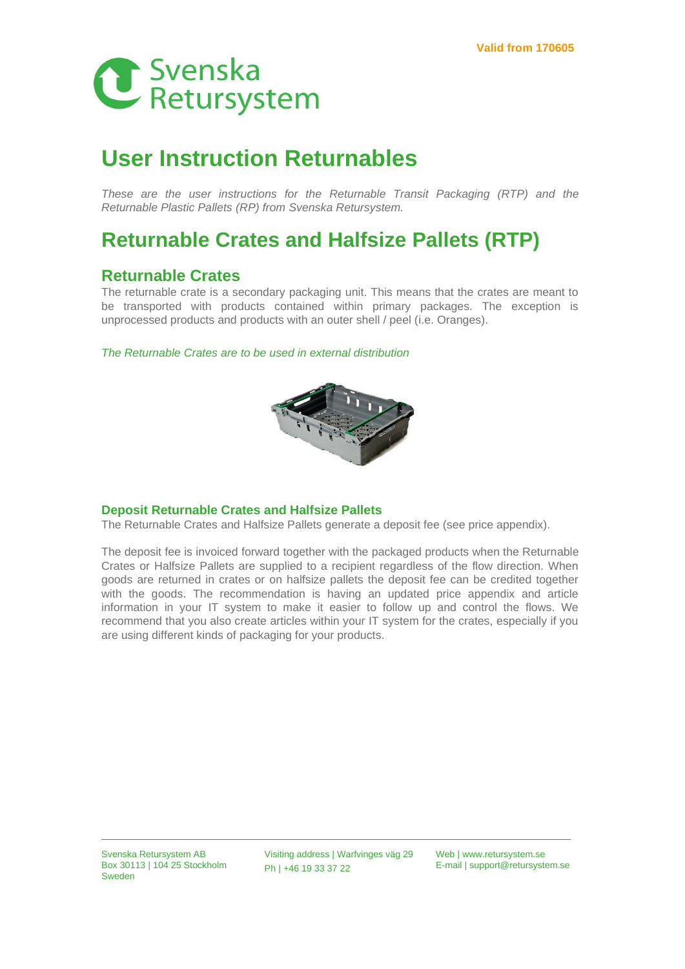

# **User Instruction Returnables**

*These are the user instructions for the Returnable Transit Packaging (RTP) and the Returnable Plastic Pallets (RP) from Svenska Retursystem.*

## **Returnable Crates and Halfsize Pallets (RTP)**

### **Returnable Crates**

The returnable crate is a secondary packaging unit. This means that the crates are meant to be transported with products contained within primary packages. The exception is unprocessed products and products with an outer shell / peel (i.e. Oranges).

*The Returnable Crates are to be used in external distribution*



#### **Deposit Returnable Crates and Halfsize Pallets**

The Returnable Crates and Halfsize Pallets generate a deposit fee (see price appendix).

The deposit fee is invoiced forward together with the packaged products when the Returnable Crates or Halfsize Pallets are supplied to a recipient regardless of the flow direction. When goods are returned in crates or on halfsize pallets the deposit fee can be credited together with the goods. The recommendation is having an updated price appendix and article information in your IT system to make it easier to follow up and control the flows. We recommend that you also create articles within your IT system for the crates, especially if you are using different kinds of packaging for your products.

Svenska Retursystem AB Box 30113 | 104 25 Stockholm Sweden

Visiting address | Warfvinges väg 29 Ph | +46 19 33 37 22

Web | www.retursystem.se E-mail | support@retursystem.se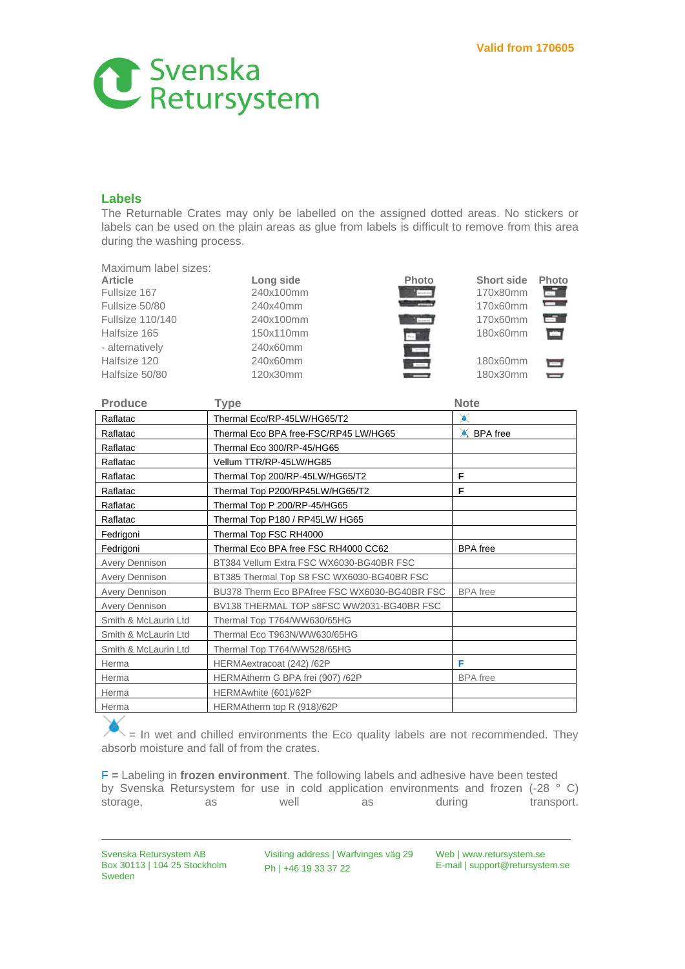

### **Labels**

The Returnable Crates may only be labelled on the assigned dotted areas. No stickers or labels can be used on the plain areas as glue from labels is difficult to remove from this area during the washing process.

Maximum label sizes:

| Article                 |
|-------------------------|
| Fullsize 167            |
| Fullsize 50/80          |
| <b>Fullsize 110/140</b> |
| Halfsize 165            |
| - alternatively         |
| Halfsize 120            |
| Halfsize 50/80          |
|                         |

Fullsize 167 240x100mm 170x80mm Fullsize 500 240x40mm 170x60mm Fullsize 110/140 240x100mm 170x60mm 150x110mm 180x60mm 240x60mm 240x60mm 180x60mm 120x30mm 180x30mm





**Terms**  $\overline{ }$ 

| <b>Produce</b>        | <b>Type</b>                                   | <b>Note</b>            |
|-----------------------|-----------------------------------------------|------------------------|
| Raflatac              | Thermal Eco/RP-45LW/HG65/T2                   |                        |
| Raflatac              | Thermal Eco BPA free-FSC/RP45 LW/HG65         | $\triangle$ , BPA free |
| Raflatac              | Thermal Eco 300/RP-45/HG65                    |                        |
| Raflatac              | Vellum TTR/RP-45LW/HG85                       |                        |
| Raflatac              | Thermal Top 200/RP-45LW/HG65/T2               | F                      |
| Raflatac              | Thermal Top P200/RP45LW/HG65/T2               | F                      |
| Raflatac              | Thermal Top P 200/RP-45/HG65                  |                        |
| Raflatac              | Thermal Top P180 / RP45LW/ HG65               |                        |
| Fedrigoni             | Thermal Top FSC RH4000                        |                        |
| Fedrigoni             | Thermal Eco BPA free FSC RH4000 CC62          | <b>BPA</b> free        |
| <b>Avery Dennison</b> | BT384 Vellum Extra FSC WX6030-BG40BR FSC      |                        |
| <b>Avery Dennison</b> | BT385 Thermal Top S8 FSC WX6030-BG40BR FSC    |                        |
| <b>Avery Dennison</b> | BU378 Therm Eco BPAfree FSC WX6030-BG40BR FSC | <b>BPA</b> free        |
| Avery Dennison        | BV138 THERMAL TOP s8FSC WW2031-BG40BR FSC     |                        |
| Smith & McLaurin Ltd  | Thermal Top T764/WW630/65HG                   |                        |
| Smith & McLaurin Ltd  | Thermal Eco T963N/WW630/65HG                  |                        |
| Smith & McLaurin Ltd  | Thermal Top T764/WW528/65HG                   |                        |
| Herma                 | HERMAextracoat (242) /62P                     | F                      |
| Herma                 | HERMAtherm G BPA frei (907) /62P              | <b>BPA</b> free        |
| Herma                 | HERMAwhite (601)/62P                          |                        |
| Herma                 | HERMAtherm top R (918)/62P                    |                        |

= In wet and chilled environments the Eco quality labels are not recommended. They absorb moisture and fall of from the crates.

F **=** Labeling in **frozen environment**. The following labels and adhesive have been tested by Svenska Retursystem for use in cold application environments and frozen (-28 ° C) storage, as as well as during transport.

Svenska Retursystem AB Box 30113 | 104 25 Stockholm Sweden

Visiting address | Warfvinges väg 29 Ph | +46 19 33 37 22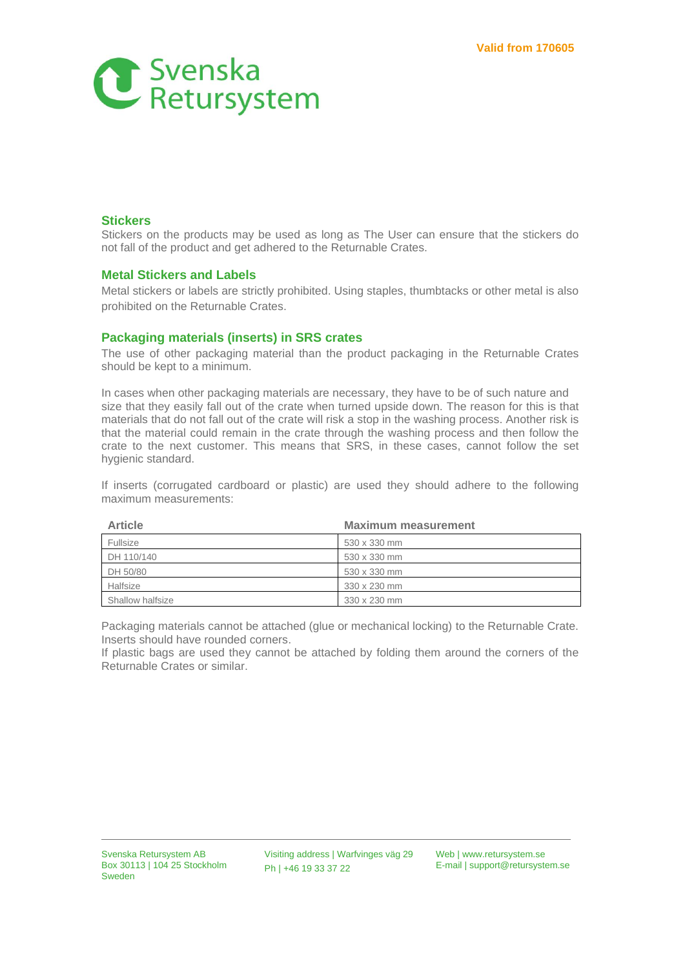

### **Stickers**

Stickers on the products may be used as long as The User can ensure that the stickers do not fall of the product and get adhered to the Returnable Crates.

#### **Metal Stickers and Labels**

Metal stickers or labels are strictly prohibited. Using staples, thumbtacks or other metal is also prohibited on the Returnable Crates.

### **Packaging materials (inserts) in SRS crates**

The use of other packaging material than the product packaging in the Returnable Crates should be kept to a minimum.

In cases when other packaging materials are necessary, they have to be of such nature and size that they easily fall out of the crate when turned upside down. The reason for this is that materials that do not fall out of the crate will risk a stop in the washing process. Another risk is that the material could remain in the crate through the washing process and then follow the crate to the next customer. This means that SRS, in these cases, cannot follow the set hygienic standard.

If inserts (corrugated cardboard or plastic) are used they should adhere to the following maximum measurements:

| <b>Article</b>   | <b>Maximum measurement</b> |
|------------------|----------------------------|
| Fullsize         | 530 x 330 mm               |
| DH 110/140       | 530 x 330 mm               |
| DH 50/80         | 530 x 330 mm               |
| Halfsize         | 330 x 230 mm               |
| Shallow halfsize | 330 x 230 mm               |

Packaging materials cannot be attached (glue or mechanical locking) to the Returnable Crate. Inserts should have rounded corners.

If plastic bags are used they cannot be attached by folding them around the corners of the Returnable Crates or similar.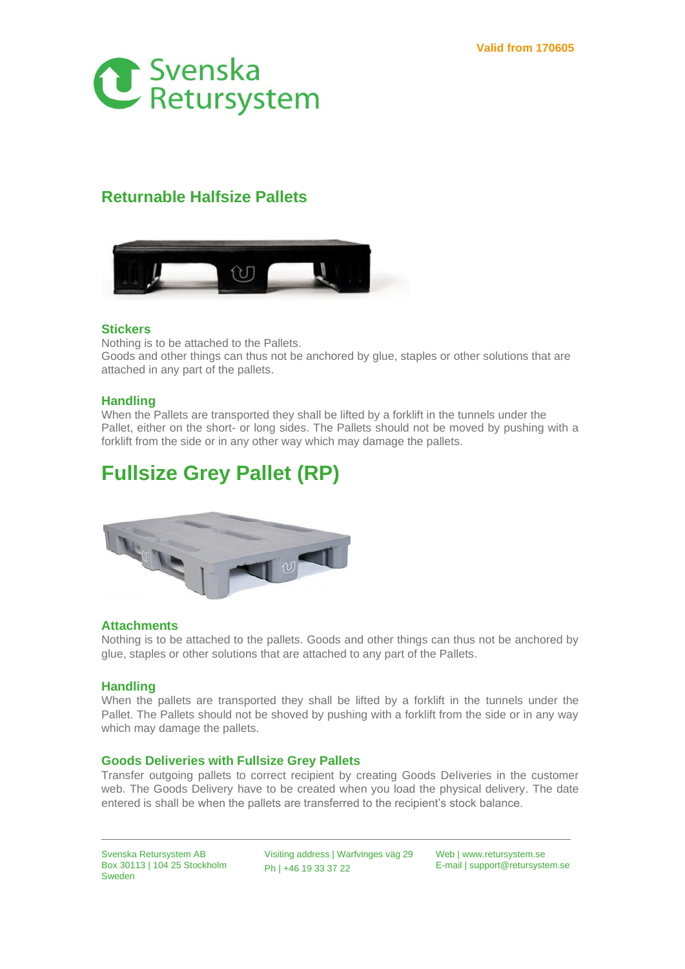

## **Returnable Halfsize Pallets**



### **Stickers**

Nothing is to be attached to the Pallets.

Goods and other things can thus not be anchored by glue, staples or other solutions that are attached in any part of the pallets.

### **Handling**

When the Pallets are transported they shall be lifted by a forklift in the tunnels under the Pallet, either on the short- or long sides. The Pallets should not be moved by pushing with a forklift from the side or in any other way which may damage the pallets.

# **Fullsize Grey Pallet (RP)**



### **Attachments**

Nothing is to be attached to the pallets. Goods and other things can thus not be anchored by glue, staples or other solutions that are attached to any part of the Pallets.

### **Handling**

When the pallets are transported they shall be lifted by a forklift in the tunnels under the Pallet. The Pallets should not be shoved by pushing with a forklift from the side or in any way which may damage the pallets.

### **Goods Deliveries with Fullsize Grey Pallets**

Transfer outgoing pallets to correct recipient by creating Goods Deliveries in the customer web. The Goods Delivery have to be created when you load the physical delivery. The date entered is shall be when the pallets are transferred to the recipient's stock balance.

Svenska Retursystem AB Box 30113 | 104 25 Stockholm Sweden

Visiting address | Warfvinges väg 29 Ph | +46 19 33 37 22

Web | www.retursystem.se E-mail | support@retursystem.se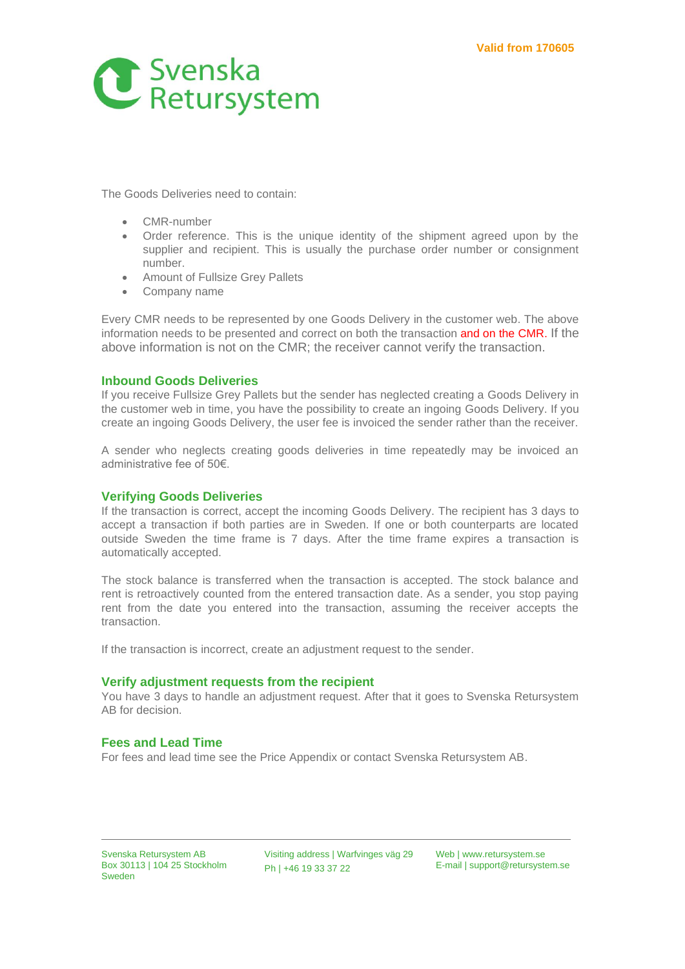

The Goods Deliveries need to contain:

- CMR-number
- Order reference. This is the unique identity of the shipment agreed upon by the supplier and recipient. This is usually the purchase order number or consignment number.
- Amount of Fullsize Grey Pallets
- Company name

Every CMR needs to be represented by one Goods Delivery in the customer web. The above information needs to be presented and correct on both the transaction and on the CMR. If the above information is not on the CMR; the receiver cannot verify the transaction.

### **Inbound Goods Deliveries**

If you receive Fullsize Grey Pallets but the sender has neglected creating a Goods Delivery in the customer web in time, you have the possibility to create an ingoing Goods Delivery. If you create an ingoing Goods Delivery, the user fee is invoiced the sender rather than the receiver.

A sender who neglects creating goods deliveries in time repeatedly may be invoiced an administrative fee of 50€.

### **Verifying Goods Deliveries**

If the transaction is correct, accept the incoming Goods Delivery. The recipient has 3 days to accept a transaction if both parties are in Sweden. If one or both counterparts are located outside Sweden the time frame is 7 days. After the time frame expires a transaction is automatically accepted.

The stock balance is transferred when the transaction is accepted. The stock balance and rent is retroactively counted from the entered transaction date. As a sender, you stop paying rent from the date you entered into the transaction, assuming the receiver accepts the transaction.

If the transaction is incorrect, create an adjustment request to the sender.

#### **Verify adjustment requests from the recipient**

You have 3 days to handle an adjustment request. After that it goes to Svenska Retursystem AB for decision.

### **Fees and Lead Time**

For fees and lead time see the Price Appendix or contact Svenska Retursystem AB.